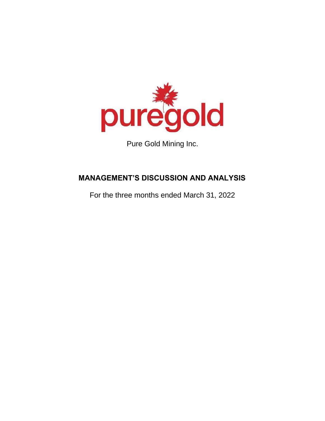

Pure Gold Mining Inc.

# **MANAGEMENT'S DISCUSSION AND ANALYSIS**

For the three months ended March 31, 2022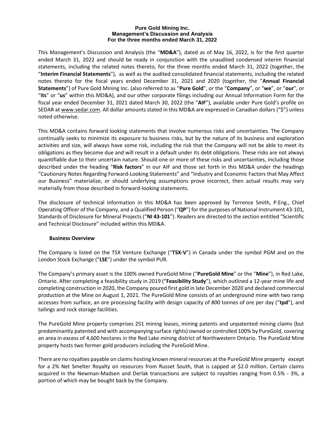#### **Pure Gold Mining Inc. Management's Discussion and Analysis For the three months ended March 31, 2022**

This Management's Discussion and Analysis (the "**MD&A**"), dated as of May 16, 2022, is for the first quarter ended March 31, 2022 and should be ready in conjunction with the unaudited condensed interim financial statements, including the related notes thereto, for the three months ended March 31, 2022 (together, the "**Interim Financial Statements**"), as well as the audited consolidated financial statements, including the related notes thereto for the fiscal years ended December 31, 2021 and 2020 (together, the "**Annual Financial Statements**") of Pure Gold Mining Inc. (also referred to as "**Pure Gold**", or the "**Company**", or "**we**", or "**our**", or "**its**" or "**us**" within this MD&A), and our other corporate filings including our Annual Information Form for the fiscal year ended December 31, 2021 dated March 30, 2022 (the "**AIF**"), available under Pure Gold's profile on SEDAR a[t www.sedar.com.](http://www.sedar.com/) All dollar amounts stated in this MD&A are expressed in Canadian dollars ("\$") unless noted otherwise.

This MD&A contains forward looking statements that involve numerous risks and uncertainties. The Company continually seeks to minimize its exposure to business risks, but by the nature of its business and exploration activities and size, will always have some risk, including the risk that the Company will not be able to meet its obligations as they become due and will result in a default under its debt obligations. These risks are not always quantifiable due to their uncertain nature. Should one or more of these risks and uncertainties, including those described under the heading "**Risk factors**" in our AIF and those set forth in this MD&A under the headings "Cautionary Notes Regarding Forward-Looking Statements" and "Industry and Economic Factors that May Affect our Business" materialize, or should underlying assumptions prove incorrect, then actual results may vary materially from those described in forward-looking statements.

The disclosure of technical information in this MD&A has been approved by Terrence Smith, P.Eng., Chief Operating Officer of the Company, and a Qualified Person ("**QP**") for the purposes of National Instrument 43-101, Standards of Disclosure for Mineral Projects ("**NI 43-101**"). Readers are directed to the section entitled "Scientific and Technical Disclosure" included within this MD&A.

# **Business Overview**

The Company is listed on the TSX Venture Exchange ("**TSX-V**") in Canada under the symbol PGM and on the London Stock Exchange ("**LSE**") under the symbol PUR.

The Company's primary asset is the 100% owned PureGold Mine ("**PureGold Mine**" or the "**Mine**"), in Red Lake, Ontario. After completing a feasibility study in 2019 ("**Feasibility Study**"), which outlined a 12-year mine life and completing construction in 2020, the Company poured first gold in late December 2020 and declared commercial production at the Mine on August 1, 2021. The PureGold Mine consists of an underground mine with two ramp accesses from surface, an ore processing facility with design capacity of 800 tonnes of ore per day ("**tpd**"), and tailings and rock storage facilities.

The PureGold Mine property comprises 251 mining leases, mining patents and unpatented mining claims (but predominantly patented and with accompanying surface rights) owned or controlled 100% by PureGold, covering an area in excess of 4,600 hectares in the Red Lake mining district of Northwestern Ontario. The PureGold Mine property hosts two former gold producers including the PureGold Mine.

There are no royalties payable on claims hosting known mineral resources at the PureGold Mine property except for a 2% Net Smelter Royalty on resources from Russet South, that is capped at \$2.0 million. Certain claims acquired in the Newman-Madsen and Derlak transactions are subject to royalties ranging from 0.5% - 3%, a portion of which may be bought back by the Company.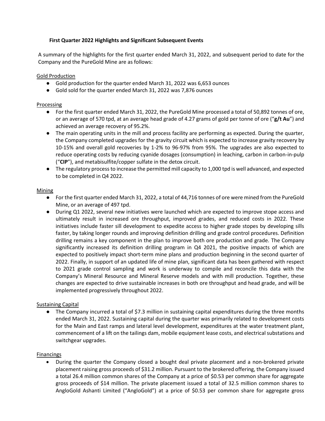# **First Quarter 2022 Highlights and Significant Subsequent Events**

A summary of the highlights for the first quarter ended March 31, 2022, and subsequent period to date for the Company and the PureGold Mine are as follows:

Gold Production

- Gold production for the quarter ended March 31, 2022 was 6,653 ounces
- Gold sold for the quarter ended March 31, 2022 was 7,876 ounces

# Processing

- For the first quarter ended March 31, 2022, the PureGold Mine processed a total of 50,892 tonnes of ore, or an average of 570 tpd, at an average head grade of 4.27 grams of gold per tonne of ore ("**g/t Au**") and achieved an average recovery of 95.2%.
- The main operating units in the mill and process facility are performing as expected. During the quarter, the Company completed upgrades for the gravity circuit which is expected to increase gravity recovery by 10-15% and overall gold recoveries by 1-2% to 96-97% from 95%. The upgrades are also expected to reduce operating costs by reducing cyanide dosages (consumption) in leaching, carbon in carbon-in-pulp ("**CIP**"), and metabisulfite/copper sulfate in the detox circuit.
- The regulatory process to increase the permitted mill capacity to 1,000 tpd is well advanced, and expected to be completed in Q4 2022.

### Mining

- For the first quarter ended March 31, 2022, a total of 44,716 tonnes of ore were mined from the PureGold Mine, or an average of 497 tpd.
- During Q1 2022, several new initiatives were launched which are expected to improve stope access and ultimately result in increased ore throughput, improved grades, and reduced costs in 2022. These initiatives include faster sill development to expedite access to higher grade stopes by developing sills faster, by taking longer rounds and improving definition drilling and grade control procedures. Definition drilling remains a key component in the plan to improve both ore production and grade. The Company significantly increased its definition drilling program in Q4 2021, the positive impacts of which are expected to positively impact short-term mine plans and production beginning in the second quarter of 2022. Finally, in support of an updated life of mine plan, significant data has been gathered with respect to 2021 grade control sampling and work is underway to compile and reconcile this data with the Company's Mineral Resource and Mineral Reserve models and with mill production. Together, these changes are expected to drive sustainable increases in both ore throughput and head grade, and will be implemented progressively throughout 2022.

# Sustaining Capital

● The Company incurred a total of \$7.3 million in sustaining capital expenditures during the three months ended March 31, 2022. Sustaining capital during the quarter was primarily related to development costs for the Main and East ramps and lateral level development, expenditures at the water treatment plant, commencement of a lift on the tailings dam, mobile equipment lease costs, and electrical substations and switchgear upgrades.

# Financings

• During the quarter the Company closed a bought deal private placement and a non-brokered private placement raising gross proceeds of \$31.2 million. Pursuant to the brokered offering, the Company issued a total 26.4 million common shares of the Company at a price of \$0.53 per common share for aggregate gross proceeds of \$14 million. The private placement issued a total of 32.5 million common shares to AngloGold Ashanti Limited ("AngloGold") at a price of \$0.53 per common share for aggregate gross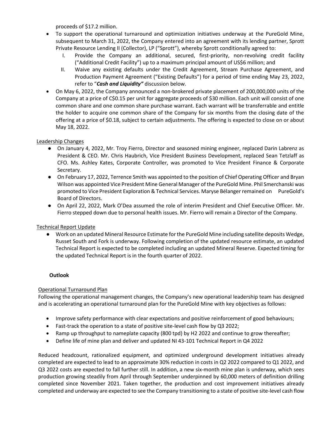proceeds of \$17.2 million.

- To support the operational turnaround and optimization initiatives underway at the PureGold Mine, subsequent to March 31, 2022, the Company entered into an agreement with its lending partner, Sprott Private Resource Lending II (Collector), LP ("Sprott"), whereby Sprott conditionally agreed to:
	- I. Provide the Company an additional, secured, first-priority, non-revolving credit facility ("Additional Credit Facility") up to a maximum principal amount of US\$6 million; and
	- II. Waive any existing defaults under the Credit Agreement, Stream Purchase Agreement, and Production Payment Agreement ("Existing Defaults") for a period of time ending May 23, 2022, refer to "*Cash and Liquidity"* discussion below.
- On May 6, 2022, the Company announced a non-brokered private placement of 200,000,000 units of the Company at a price of C\$0.15 per unit for aggregate proceeds of \$30 million. Each unit will consist of one common share and one common share purchase warrant. Each warrant will be transferrable and entitle the holder to acquire one common share of the Company for six months from the closing date of the offering at a price of \$0.18, subject to certain adjustments. The offering is expected to close on or about May 18, 2022.

# Leadership Changes

- On January 4, 2022, Mr. Troy Fierro, Director and seasoned mining engineer, replaced Darin Labrenz as President & CEO. Mr. Chris Haubrich, Vice President Business Development, replaced Sean Tetzlaff as CFO. Ms. Ashley Kates, Corporate Controller, was promoted to Vice President Finance & Corporate Secretary.
- On February 17, 2022, Terrence Smith was appointed to the position of Chief Operating Officer and Bryan Wilson was appointed Vice President Mine General Manager of the PureGold Mine. Phil Smerchanski was promoted to Vice President Exploration & Technical Services. Maryse Bélanger remained on PureGold's Board of Directors.
- On April 22, 2022, Mark O'Dea assumed the role of interim President and Chief Executive Officer. Mr. Fierro stepped down due to personal health issues. Mr. Fierro will remain a Director of the Company.

# Technical Report Update

● Work on an updated Mineral Resource Estimate for the PureGold Mine including satellite deposits Wedge, Russet South and Fork is underway. Following completion of the updated resource estimate, an updated Technical Report is expected to be completed including an updated Mineral Reserve. Expected timing for the updated Technical Report is in the fourth quarter of 2022.

# **Outlook**

# Operational Turnaround Plan

Following the operational management changes, the Company's new operational leadership team has designed and is accelerating an operational turnaround plan for the PureGold Mine with key objectives as follows:

- Improve safety performance with clear expectations and positive reinforcement of good behaviours;
- Fast-track the operation to a state of positive site-level cash flow by Q3 2022;
- Ramp up throughput to nameplate capacity (800 tpd) by H2 2022 and continue to grow thereafter;
- Define life of mine plan and deliver and updated NI 43-101 Technical Report in Q4 2022

Reduced headcount, rationalized equipment, and optimized underground development initiatives already completed are expected to lead to an approximate 30% reduction in costs in Q2 2022 compared to Q1 2022, and Q3 2022 costs are expected to fall further still. In addition, a new six-month mine plan is underway, which sees production growing steadily from April through September underpinned by 60,000 meters of definition drilling completed since November 2021. Taken together, the production and cost improvement initiatives already completed and underway are expected to see the Company transitioning to a state of positive site-level cash flow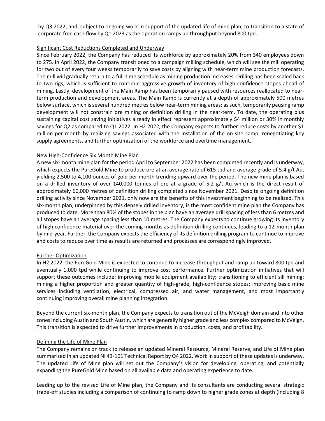by Q3 2022, and, subject to ongoing work in support of the updated life of mine plan, to transition to a state of corporate free cash flow by Q1 2023 as the operation ramps up throughput beyond 800 tpd.

# Significant Cost Reductions Completed and Underway

Since February 2022, the Company has reduced its workforce by approximately 20% from 340 employees down to 275. In April 2022, the Company transitioned to a campaign milling schedule, which will see the mill operating for two out of every four weeks temporarily to save costs by aligning with near-term mine production forecasts. The mill will gradually return to a full-time schedule as mining production increases. Drilling has been scaled back to two rigs, which is sufficient to continue aggressive growth of inventory of high-confidence stopes ahead of mining. Lastly, development of the Main Ramp has been temporarily paused with resources reallocated to nearterm production and development areas. The Main Ramp is currently at a depth of approximately 500 metres below surface, which is several hundred metres below near-term mining areas; as such, temporarily pausing ramp development will not constrain ore mining or definition drilling in the near-term. To date, the operating plus sustaining capital cost saving initiatives already in effect represent approximately \$4 million or 30% in monthly savings for Q2 as compared to Q1 2022. In H2 2022, the Company expects to further reduce costs by another \$1 million per month by realizing savings associated with the installation of the on-site camp, renegotiating key supply agreements, and further optimization of the workforce and overtime management.

# New High-Confidence Six Month Mine Plan

A new six-month mine plan for the period April to September 2022 has been completed recently and is underway, which expects the PureGold Mine to produce ore at an average rate of 615 tpd and average grade of 5.4 g/t Au, yielding 2,500 to 4,100 ounces of gold per month trending upward over the period. The new mine plan is based on a drilled inventory of over 140,000 tonnes of ore at a grade of 5.2 g/t Au which is the direct result of approximately 60,000 metres of definition drilling completed since November 2021. Despite ongoing definition drilling activity since November 2021, only now are the benefits of this investment beginning to be realized. This six-month plan, underpinned by this densely drilled inventory, is the most confident mine plan the Company has produced to date. More than 80% of the stopes in the plan have an average drill spacing of less than 6 metres and all stopes have an average spacing less than 10 metres. The Company expects to continue growing its inventory of high confidence material over the coming months as definition drilling continues, leading to a 12-month plan by mid-year. Further, the Company expects the efficiency of its definition drilling program to continue to improve and costs to reduce over time as results are returned and processes are correspondingly improved.

# Further Optimization

In H2 2022, the PureGold Mine is expected to continue to increase throughput and ramp up toward 800 tpd and eventually 1,000 tpd while continuing to improve cost performance. Further optimization initiatives that will support these outcomes include: improving mobile equipment availability; transitioning to efficient sill mining; mining a higher proportion and greater quantity of high-grade, high-confidence stopes; improving basic mine services including ventilation, electrical, compressed air, and water management, and most importantly continuing improving overall mine planning integration.

Beyond the current six-month plan, the Company expects to transition out of the McVeigh domain and into other zones including Austin and South Austin, which are generally higher grade and less complex compared to McVeigh. This transition is expected to drive further improvements in production, costs, and profitability.

# Defining the Life of Mine Plan

The Company remains on track to release an updated Mineral Resource, Mineral Reserve, and Life of Mine plan summarized in an updated NI 43-101 Technical Report by Q4 2022. Work in support of these updates is underway. The updated Life of Mine plan will set out the Company's vision for developing, operating, and potentially expanding the PureGold Mine based on all available data and operating experience to date.

Leading up to the revised Life of Mine plan, the Company and its consultants are conducting several strategic trade-off studies including a comparison of continuing to ramp down to higher grade zones at depth (including 8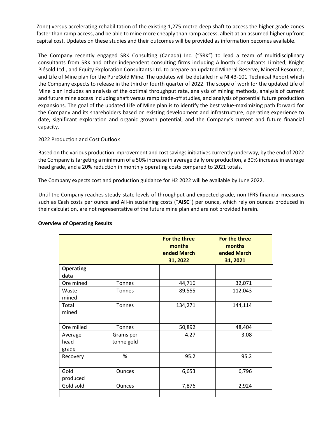Zone) versus accelerating rehabilitation of the existing 1,275-metre-deep shaft to access the higher grade zones faster than ramp access, and be able to mine more cheaply than ramp access, albeit at an assumed higher upfront capital cost. Updates on these studies and their outcomes will be provided as information becomes available.

The Company recently engaged SRK Consulting (Canada) Inc. ("SRK") to lead a team of multidisciplinary consultants from SRK and other independent consulting firms including Allnorth Consultants Limited, Knight Piésold Ltd., and Equity Exploration Consultants Ltd. to prepare an updated Mineral Reserve, Mineral Resource, and Life of Mine plan for the PureGold Mine. The updates will be detailed in a NI 43-101 Technical Report which the Company expects to release in the third or fourth quarter of 2022. The scope of work for the updated Life of Mine plan includes an analysis of the optimal throughput rate, analysis of mining methods, analysis of current and future mine access including shaft versus ramp trade-off studies, and analysis of potential future production expansions. The goal of the updated Life of Mine plan is to identify the best value-maximizing path forward for the Company and its shareholders based on existing development and infrastructure, operating experience to date, significant exploration and organic growth potential, and the Company's current and future financial capacity.

# 2022 Production and Cost Outlook

Based on the various production improvement and cost savings initiatives currently underway, by the end of 2022 the Company is targeting a minimum of a 50% increase in average daily ore production, a 30% increase in average head grade, and a 20% reduction in monthly operating costs compared to 2021 totals.

The Company expects cost and production guidance for H2 2022 will be available by June 2022.

Until the Company reaches steady-state levels of throughput and expected grade, non-IFRS financial measures such as Cash costs per ounce and All-in sustaining costs ("**AISC**") per ounce, which rely on ounces produced in their calculation, are not representative of the future mine plan and are not provided herein.

|                  |               | For the three<br>months<br>ended March<br>31, 2022 | For the three<br>months<br>ended March<br>31, 2021 |
|------------------|---------------|----------------------------------------------------|----------------------------------------------------|
| <b>Operating</b> |               |                                                    |                                                    |
| data             |               |                                                    |                                                    |
| Ore mined        | Tonnes        | 44,716                                             | 32,071                                             |
| Waste<br>mined   | <b>Tonnes</b> | 89,555                                             | 112,043                                            |
| Total            | <b>Tonnes</b> | 134,271                                            | 144,114                                            |
| mined            |               |                                                    |                                                    |
|                  |               |                                                    |                                                    |
| Ore milled       | Tonnes        | 50,892                                             | 48,404                                             |
| Average          | Grams per     | 4.27                                               | 3.08                                               |
| head             | tonne gold    |                                                    |                                                    |
| grade            |               |                                                    |                                                    |
| Recovery         | %             | 95.2                                               | 95.2                                               |
|                  |               |                                                    |                                                    |
| Gold             | <b>Ounces</b> | 6,653                                              | 6,796                                              |
| produced         |               |                                                    |                                                    |
| Gold sold        | <b>Ounces</b> | 7,876                                              | 2,924                                              |
|                  |               |                                                    |                                                    |

# **Overview of Operating Results**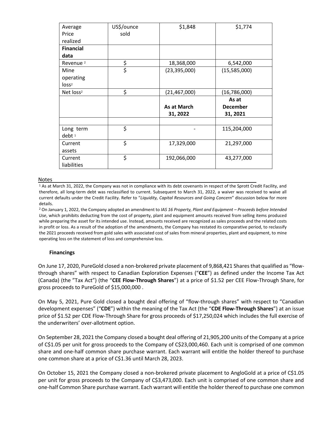| Average               | US\$/ounce | \$1,848        | \$1,774         |
|-----------------------|------------|----------------|-----------------|
| Price                 | sold       |                |                 |
| realized              |            |                |                 |
| <b>Financial</b>      |            |                |                 |
| data                  |            |                |                 |
| Revenue <sup>2</sup>  | \$         | 18,368,000     | 6,542,000       |
| Mine                  | \$         | (23, 395, 000) | (15,585,000)    |
| operating             |            |                |                 |
| loss <sup>2</sup>     |            |                |                 |
| Net loss <sup>2</sup> | \$         | (21, 467, 000) | (16,786,000)    |
|                       |            |                | As at           |
|                       |            | As at March    | <b>December</b> |
|                       |            | 31, 2022       | 31, 2021        |
|                       |            |                |                 |
| Long term             | \$         |                | 115,204,000     |
| debt <sup>1</sup>     |            |                |                 |
| Current               | \$         | 17,329,000     | 21,297,000      |
| assets                |            |                |                 |
| Current               | \$         | 192,066,000    | 43,277,000      |
| liabilities           |            |                |                 |

#### Notes

<sup>1</sup> As at March 31, 2022, the Company was not in compliance with its debt covenants in respect of the Sprott Credit Facility, and therefore, all long-term debt was reclassified to current. Subsequent to March 31, 2022, a waiver was received to waive all current defaults under the Credit Facility. Refer to "*Liquidity, Capital Resources and Going Concern*" discussion below for more details.

<sup>2</sup> On January 1, 2022, the Company adopted an amendment to *IAS 16 Property, Plant and Equipment – Proceeds before Intended Use*, which prohibits deducting from the cost of property, plant and equipment amounts received from selling items produced while preparing the asset for its intended use. Instead, amounts received are recognized as sales proceeds and the related costs in profit or loss. As a result of the adoption of the amendments, the Company has restated its comparative period, to reclassify the 2021 proceeds received from gold sales with associated cost of sales from mineral properties, plant and equipment, to mine operating loss on the statement of loss and comprehensive loss.

#### **Financings**

On June 17, 2020, PureGold closed a non-brokered private placement of 9,868,421 Shares that qualified as "flowthrough shares" with respect to Canadian Exploration Expenses ("**CEE**") as defined under the Income Tax Act (Canada) (the "Tax Act") (the "**CEE Flow-Through Shares**") at a price of \$1.52 per CEE Flow-Through Share, for gross proceeds to PureGold of \$15,000,000 .

On May 5, 2021, Pure Gold closed a bought deal offering of "flow-through shares" with respect to "Canadian development expenses" ("**CDE**") within the meaning of the Tax Act (the "**CDE Flow-Through Shares**") at an issue price of \$1.52 per CDE Flow-Through Share for gross proceeds of \$17,250,024 which includes the full exercise of the underwriters' over-allotment option.

On September 28, 2021 the Company closed a bought deal offering of 21,905,200 units of the Company at a price of C\$1.05 per unit for gross proceeds to the Company of C\$23,000,460. Each unit is comprised of one common share and one-half common share purchase warrant. Each warrant will entitle the holder thereof to purchase one common share at a price of C\$1.36 until March 28, 2023.

On October 15, 2021 the Company closed a non-brokered private placement to AngloGold at a price of C\$1.05 per unit for gross proceeds to the Company of C\$3,473,000. Each unit is comprised of one common share and one-half Common Share purchase warrant. Each warrant will entitle the holder thereof to purchase one common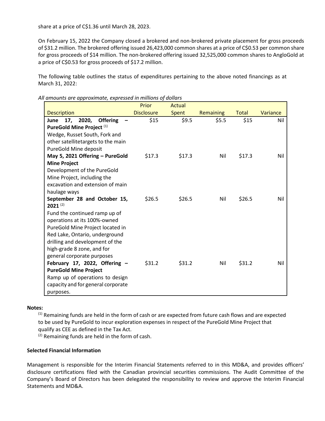share at a price of C\$1.36 until March 28, 2023.

On February 15, 2022 the Company closed a brokered and non-brokered private placement for gross proceeds of \$31.2 million. The brokered offering issued 26,423,000 common shares at a price of C\$0.53 per common share for gross proceeds of \$14 million. The non-brokered offering issued 32,525,000 common shares to AngloGold at a price of C\$0.53 for gross proceeds of \$17.2 million.

The following table outlines the status of expenditures pertaining to the above noted financings as at March 31, 2022:

*All amounts are approximate, expressed in millions of dollars*

|                                                                   | Prior             | Actual |                  |              |          |
|-------------------------------------------------------------------|-------------------|--------|------------------|--------------|----------|
| <b>Description</b>                                                | <b>Disclosure</b> | Spent  | <b>Remaining</b> | <b>Total</b> | Variance |
| <b>Offering</b><br>2020,<br>17,<br>June                           | \$15              | \$9.5  | \$5.5            | \$15         | Nil      |
| PureGold Mine Project <sup>(1)</sup>                              |                   |        |                  |              |          |
| Wedge, Russet South, Fork and                                     |                   |        |                  |              |          |
| other satellitetargets to the main                                |                   |        |                  |              |          |
| PureGold Mine deposit                                             |                   |        |                  |              |          |
| May 5, 2021 Offering - PureGold                                   | \$17.3            | \$17.3 | Nil              | \$17.3       | Nil      |
| <b>Mine Project</b>                                               |                   |        |                  |              |          |
| Development of the PureGold                                       |                   |        |                  |              |          |
| Mine Project, including the                                       |                   |        |                  |              |          |
| excavation and extension of main                                  |                   |        |                  |              |          |
| haulage ways                                                      |                   |        |                  |              |          |
| September 28 and October 15,                                      | \$26.5            | \$26.5 | Nil              | \$26.5       | Nil      |
| $2021^{(2)}$                                                      |                   |        |                  |              |          |
| Fund the continued ramp up of                                     |                   |        |                  |              |          |
| operations at its 100%-owned                                      |                   |        |                  |              |          |
| PureGold Mine Project located in                                  |                   |        |                  |              |          |
| Red Lake, Ontario, underground<br>drilling and development of the |                   |        |                  |              |          |
| high-grade 8 zone, and for                                        |                   |        |                  |              |          |
| general corporate purposes                                        |                   |        |                  |              |          |
| February 17, 2022, Offering -                                     | \$31.2            | \$31.2 | Nil              | \$31.2       | Nil      |
| <b>PureGold Mine Project</b>                                      |                   |        |                  |              |          |
| Ramp up of operations to design                                   |                   |        |                  |              |          |
| capacity and for general corporate                                |                   |        |                  |              |          |
| purposes.                                                         |                   |        |                  |              |          |
|                                                                   |                   |        |                  |              |          |

# **Notes:**

 $<sup>(1)</sup>$  Remaining funds are held in the form of cash or are expected from future cash flows and are expected</sup> to be used by PureGold to incur exploration expenses in respect of the PureGold Mine Project that qualify as CEE as defined in the Tax Act.

(2) Remaining funds are held in the form of cash.

# **Selected Financial Information**

Management is responsible for the Interim Financial Statements referred to in this MD&A, and provides officers' disclosure certifications filed with the Canadian provincial securities commissions. The Audit Committee of the Company's Board of Directors has been delegated the responsibility to review and approve the Interim Financial Statements and MD&A.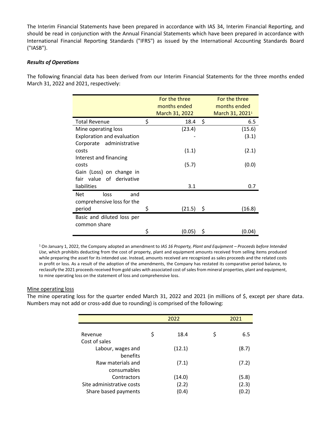The Interim Financial Statements have been prepared in accordance with IAS 34, Interim Financial Reporting, and should be read in conjunction with the Annual Financial Statements which have been prepared in accordance with International Financial Reporting Standards ("IFRS") as issued by the International Accounting Standards Board ("IASB").

# *Results of Operations*

The following financial data has been derived from our Interim Financial Statements for the three months ended March 31, 2022 and 2021, respectively:

|                            | For the three<br>months ended<br>March 31, 2022 | For the three<br>months ended<br>March 31, 2021 <sup>1</sup> |
|----------------------------|-------------------------------------------------|--------------------------------------------------------------|
| <b>Total Revenue</b>       | \$<br>18.4                                      | \$<br>6.5                                                    |
| Mine operating loss        | (23.4)                                          | (15.6)                                                       |
| Exploration and evaluation |                                                 | (3.1)                                                        |
| Corporate administrative   |                                                 |                                                              |
| costs                      | (1.1)                                           | (2.1)                                                        |
| Interest and financing     |                                                 |                                                              |
| costs                      | (5.7)                                           | (0.0)                                                        |
| Gain (Loss) on change in   |                                                 |                                                              |
| fair value of derivative   |                                                 |                                                              |
| liabilities                | 3.1                                             | 0.7                                                          |
| <b>Net</b><br>loss<br>and  |                                                 |                                                              |
| comprehensive loss for the |                                                 |                                                              |
| period                     | \$<br>(21.5)                                    | \$<br>(16.8)                                                 |
| Basic and diluted loss per |                                                 |                                                              |
| common share               |                                                 |                                                              |
|                            | \$<br>(0.05)                                    | \$<br>(0.04)                                                 |

<sup>1</sup> On January 1, 2022, the Company adopted an amendment to *IAS 16 Property, Plant and Equipment – Proceeds before Intended Use*, which prohibits deducting from the cost of property, plant and equipment amounts received from selling items produced while preparing the asset for its intended use. Instead, amounts received are recognized as sales proceeds and the related costs in profit or loss. As a result of the adoption of the amendments, the Company has restated its comparative period balance, to reclassify the 2021 proceeds received from gold sales with associated cost of sales from mineral properties, plant and equipment, to mine operating loss on the statement of loss and comprehensive loss.

# Mine operating loss

The mine operating loss for the quarter ended March 31, 2022 and 2021 (in millions of \$, except per share data. Numbers may not add or cross-add due to rounding) is comprised of the following:

|                           | 2022       | 2021      |
|---------------------------|------------|-----------|
|                           |            |           |
| Revenue                   | \$<br>18.4 | \$<br>6.5 |
| Cost of sales             |            |           |
| Labour, wages and         | (12.1)     | (8.7)     |
| benefits                  |            |           |
| Raw materials and         | (7.1)      | (7.2)     |
| consumables               |            |           |
| Contractors               | (14.0)     | (5.8)     |
| Site administrative costs | (2.2)      | (2.3)     |
| Share based payments      | (0.4)      | (0.2)     |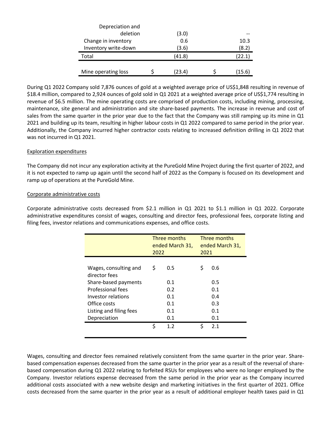| Depreciation and     |        |        |
|----------------------|--------|--------|
| deletion             | (3.0)  |        |
| Change in inventory  | 0.6    | 10.3   |
| Inventory write-down | (3.6)  | (8.2)  |
| Total                | (41.8) | (22.1) |
|                      |        |        |
| Mine operating loss  | (23.4) | (15.6) |

During Q1 2022 Company sold 7,876 ounces of gold at a weighted average price of US\$1,848 resulting in revenue of \$18.4 million, compared to 2,924 ounces of gold sold in Q1 2021 at a weighted average price of US\$1,774 resulting in revenue of \$6.5 million. The mine operating costs are comprised of production costs, including mining, processing, maintenance, site general and administration and site share-based payments. The increase in revenue and cost of sales from the same quarter in the prior year due to the fact that the Company was still ramping up its mine in Q1 2021 and building up its team, resulting in higher labour costs in Q1 2022 compared to same period in the prior year. Additionally, the Company incurred higher contractor costs relating to increased definition drilling in Q1 2022 that was not incurred in Q1 2021.

# Exploration expenditures

The Company did not incur any exploration activity at the PureGold Mine Project during the first quarter of 2022, and it is not expected to ramp up again until the second half of 2022 as the Company is focused on its development and ramp up of operations at the PureGold Mine.

# Corporate administrative costs

Corporate administrative costs decreased from \$2.1 million in Q1 2021 to \$1.1 million in Q1 2022. Corporate administrative expenditures consist of wages, consulting and director fees, professional fees, corporate listing and filing fees, investor relations and communications expenses, and office costs.

|                                        | Three months<br>ended March 31,<br>2022 |     | Three months<br>ended March 31,<br>2021 |     |
|----------------------------------------|-----------------------------------------|-----|-----------------------------------------|-----|
| Wages, consulting and<br>director fees | \$                                      | 0.5 | \$                                      | 0.6 |
| Share-based payments                   |                                         | 0.1 |                                         | 0.5 |
| <b>Professional fees</b>               |                                         | 0.2 |                                         | 0.1 |
| Investor relations                     |                                         | 0.1 |                                         | 0.4 |
| Office costs                           |                                         | 0.1 |                                         | 0.3 |
| Listing and filing fees                |                                         | 0.1 |                                         | 0.1 |
| Depreciation                           |                                         | 0.1 |                                         | 0.1 |
|                                        | \$                                      | 1.2 | \$                                      | 2.1 |

Wages, consulting and director fees remained relatively consistent from the same quarter in the prior year. Sharebased compensation expenses decreased from the same quarter in the prior year as a result of the reversal of sharebased compensation during Q1 2022 relating to forfeited RSUs for employees who were no longer employed by the Company. Investor relations expense decreased from the same period in the prior year as the Company incurred additional costs associated with a new website design and marketing initiatives in the first quarter of 2021. Office costs decreased from the same quarter in the prior year as a result of additional employer health taxes paid in Q1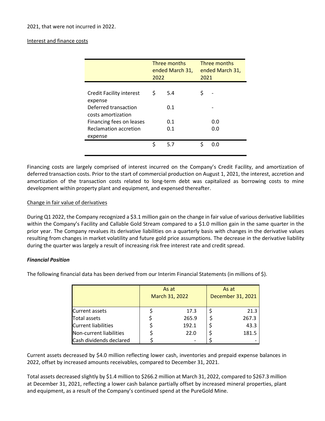# Interest and finance costs

|                                                                                          | 2022 | Three months<br>ended March 31, | 2021 | Three months<br>ended March 31, |
|------------------------------------------------------------------------------------------|------|---------------------------------|------|---------------------------------|
| <b>Credit Facility interest</b><br>expense<br>Deferred transaction<br>costs amortization | \$   | 5.4<br>0.1                      |      |                                 |
| Financing fees on leases<br>Reclamation accretion                                        |      | 0.1<br>0.1                      |      | 0.0<br>0.0                      |
| expense                                                                                  |      |                                 | \$   |                                 |
|                                                                                          | \$   | 5.7                             |      | റ റ                             |

Financing costs are largely comprised of interest incurred on the Company's Credit Facility, and amortization of deferred transaction costs. Prior to the start of commercial production on August 1, 2021, the interest, accretion and amortization of the transaction costs related to long-term debt was capitalized as borrowing costs to mine development within property plant and equipment, and expensed thereafter.

# Change in fair value of derivatives

During Q1 2022, the Company recognized a \$3.1 million gain on the change in fair value of various derivative liabilities within the Company's Facility and Callable Gold Stream compared to a \$1.0 million gain in the same quarter in the prior year. The Company revalues its derivative liabilities on a quarterly basis with changes in the derivative values resulting from changes in market volatility and future gold price assumptions. The decrease in the derivative liability during the quarter was largely a result of increasing risk free interest rate and credit spread.

# *Financial Position*

The following financial data has been derived from our Interim Financial Statements (in millions of \$).

|                            | As at<br>March 31, 2022 |       | As at<br>December 31, 2021 |       |
|----------------------------|-------------------------|-------|----------------------------|-------|
| <b>Current assets</b>      |                         | 17.3  |                            | 21.3  |
| <b>Total assets</b>        |                         | 265.9 |                            | 267.3 |
| <b>Current liabilities</b> |                         | 192.1 |                            | 43.3  |
| Non-current liabilities    |                         | 22.0  |                            | 181.5 |
| Cash dividends declared    |                         |       |                            |       |

Current assets decreased by \$4.0 million reflecting lower cash, inventories and prepaid expense balances in 2022, offset by increased amounts receivables, compared to December 31, 2021.

Total assets decreased slightly by \$1.4 million to \$266.2 million at March 31, 2022, compared to \$267.3 million at December 31, 2021, reflecting a lower cash balance partially offset by increased mineral properties, plant and equipment, as a result of the Company's continued spend at the PureGold Mine.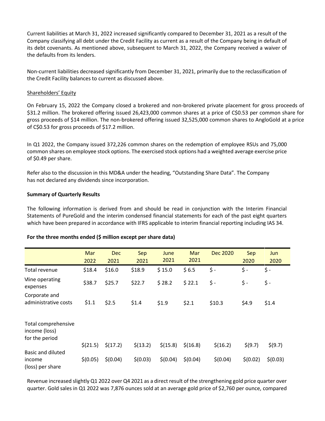Current liabilities at March 31, 2022 increased significantly compared to December 31, 2021 as a result of the Company classifying all debt under the Credit Facility as current as a result of the Company being in default of its debt covenants. As mentioned above, subsequent to March 31, 2022, the Company received a waiver of the defaults from its lenders.

Non-current liabilities decreased significantly from December 31, 2021, primarily due to the reclassification of the Credit Facility balances to current as discussed above.

### Shareholders' Equity

On February 15, 2022 the Company closed a brokered and non-brokered private placement for gross proceeds of \$31.2 million. The brokered offering issued 26,423,000 common shares at a price of C\$0.53 per common share for gross proceeds of \$14 million. The non-brokered offering issued 32,525,000 common shares to AngloGold at a price of C\$0.53 for gross proceeds of \$17.2 million.

In Q1 2022, the Company issued 372,226 common shares on the redemption of employee RSUs and 75,000 common shares on employee stock options. The exercised stock options had a weighted average exercise price of \$0.49 per share.

Refer also to the discussion in this MD&A under the heading, "Outstanding Share Data". The Company has not declared any dividends since incorporation.

### **Summary of Quarterly Results**

The following information is derived from and should be read in conjunction with the Interim Financial Statements of PureGold and the interim condensed financial statements for each of the past eight quarters which have been prepared in accordance with IFRS applicable to interim financial reporting including IAS 34.

|                                                        | Mar<br>2022 | <b>Dec</b><br>2021 | Sep<br>2021 | June<br>2021 | Mar<br>2021 | <b>Dec 2020</b> | Sep<br>2020 | Jun<br>2020 |
|--------------------------------------------------------|-------------|--------------------|-------------|--------------|-------------|-----------------|-------------|-------------|
| Total revenue                                          | \$18.4      | \$16.0             | \$18.9      | \$15.0       | \$6.5       | \$ -            | \$-         | \$ -        |
| Mine operating<br>expenses                             | \$38.7      | \$25.7             | \$22.7      | \$28.2       | \$22.1      | \$ -            | \$-         | \$-         |
| Corporate and<br>administrative costs                  | \$1.1       | \$2.5              | \$1.4       | \$1.9        | \$2.1       | \$10.3          | \$4.9       | \$1.4       |
| Total comprehensive<br>income (loss)<br>for the period |             |                    |             |              |             |                 |             |             |
|                                                        | \$(21.5)    | \$(17.2)           | \$(13.2)    | \$(15.8)     | \$(16.8)    | \$(16.2)        | \$(9.7)     | \$(9.7)     |
| <b>Basic and diluted</b><br>income<br>(loss) per share | \$(0.05)    | \$(0.04)           | \$(0.03)    | \$(0.04)     | \$(0.04)    | \$(0.04)        | \$(0.02)    | \$(0.03)    |

#### **For the three months ended (\$ million except per share data)**

Revenue increased slightly Q1 2022 over Q4 2021 as a direct result of the strengthening gold price quarter over quarter. Gold sales in Q1 2022 was 7,876 ounces sold at an average gold price of \$2,760 per ounce, compared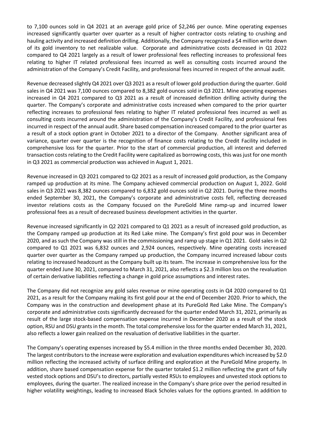to 7,100 ounces sold in Q4 2021 at an average gold price of \$2,246 per ounce. Mine operating expenses increased significantly quarter over quarter as a result of higher contractor costs relating to crushing and hauling activity and increased definition drilling. Additionally, the Company recognized a \$4 million write down of its gold inventory to net realizable value. Corporate and administrative costs decreased in Q1 2022 compared to Q4 2021 largely as a result of lower professional fees reflecting increases to professional fees relating to higher IT related professional fees incurred as well as consulting costs incurred around the administration of the Company's Credit Facility, and professional fees incurred in respect of the annual audit.

Revenue decreased slightly Q4 2021 over Q3 2021 as a result of lower gold production during the quarter. Gold sales in Q4 2021 was 7,100 ounces compared to 8,382 gold ounces sold in Q3 2021. Mine operating expenses increased in Q4 2021 compared to Q3 2021 as a result of increased definition drilling activity during the quarter. The Company's corporate and administrative costs increased when compared to the prior quarter reflecting increases to professional fees relating to higher IT related professional fees incurred as well as consulting costs incurred around the administration of the Company's Credit Facility, and professional fees incurred in respect of the annual audit. Share based compensation increased compared to the prior quarter as a result of a stock option grant in October 2021 to a director of the Company. Another significant area of variance, quarter over quarter is the recognition of finance costs relating to the Credit Facility included in comprehensive loss for the quarter. Prior to the start of commercial production, all interest and deferred transaction costs relating to the Credit Facility were capitalized as borrowing costs, this was just for one month in Q3 2021 as commercial production was achieved in August 1, 2021.

Revenue increased in Q3 2021 compared to Q2 2021 as a result of increased gold production, as the Company ramped up production at its mine. The Company achieved commercial production on August 1, 2022. Gold sales in Q3 2021 was 8,382 ounces compared to 6,832 gold ounces sold in Q2 2021. During the three months ended September 30, 2021, the Company's corporate and administrative costs fell, reflecting decreased investor relations costs as the Company focused on the PureGold Mine ramp-up and incurred lower professional fees as a result of decreased business development activities in the quarter.

Revenue increased significantly in Q2 2021 compared to Q1 2021 as a result of increased gold production, as the Company ramped up production at its Red Lake mine. The Company's first gold pour was in December 2020, and as such the Company was still in the commissioning and ramp up stage in Q1 2021. Gold sales in Q2 compared to Q1 2021 was 6,832 ounces and 2,924 ounces, respectively. Mine operating costs increased quarter over quarter as the Company ramped up production, the Company incurred increased labour costs relating to increased headcount as the Company built up its team. The increase in comprehensive loss for the quarter ended June 30, 2021, compared to March 31, 2021, also reflects a \$2.3 million loss on the revaluation of certain derivative liabilities reflecting a change in gold price assumptions and interest rates.

The Company did not recognize any gold sales revenue or mine operating costs in Q4 2020 compared to Q1 2021, as a result for the Company making its first gold pour at the end of December 2020. Prior to which, the Company was in the construction and development phase at its PureGold Red Lake Mine. The Company's corporate and administrative costs significantly decreased for the quarter ended March 31, 2021, primarily as result of the large stock-based compensation expense incurred in December 2020 as a result of the stock option, RSU and DSU grants in the month. The total comprehensive loss for the quarter ended March 31, 2021, also reflects a lower gain realized on the revaluation of derivative liabilities in the quarter.

The Company's operating expenses increased by \$5.4 million in the three months ended December 30, 2020. The largest contributors to the increase were exploration and evaluation expenditures which increased by \$2.0 million reflecting the increased activity of surface drilling and exploration at the PureGold Mine property. In addition, share based compensation expense for the quarter totaled \$1.2 million reflecting the grant of fully vested stock options and DSU's to directors, partially vested RSUs to employees and unvested stock options to employees, during the quarter. The realized increase in the Company's share price over the period resulted in higher volatility weightings, leading to increased Black Scholes values for the options granted. In addition to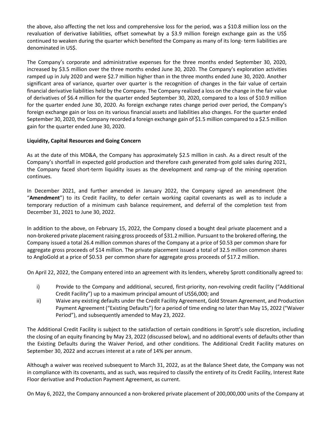the above, also affecting the net loss and comprehensive loss for the period, was a \$10.8 million loss on the revaluation of derivative liabilities, offset somewhat by a \$3.9 million foreign exchange gain as the US\$ continued to weaken during the quarter which benefited the Company as many of its long- term liabilities are denominated in US\$.

The Company's corporate and administrative expenses for the three months ended September 30, 2020, increased by \$3.5 million over the three months ended June 30, 2020. The Company's exploration activities ramped up in July 2020 and were \$2.7 million higher than in the three months ended June 30, 2020. Another significant area of variance, quarter over quarter is the recognition of changes in the fair value of certain financial derivative liabilities held by the Company. The Company realized a loss on the change in the fair value of derivatives of \$6.4 million for the quarter ended September 30, 2020, compared to a loss of \$10.9 million for the quarter ended June 30, 2020. As foreign exchange rates change period over period, the Company's foreign exchange gain or loss on its various financial assets and liabilities also changes. For the quarter ended September 30, 2020, the Company recorded a foreign exchange gain of \$1.5 million compared to a \$2.5 million gain for the quarter ended June 30, 2020.

# **Liquidity, Capital Resources and Going Concern**

As at the date of this MD&A, the Company has approximately \$2.5 million in cash. As a direct result of the Company's shortfall in expected gold production and therefore cash generated from gold sales during 2021, the Company faced short-term liquidity issues as the development and ramp-up of the mining operation continues.

In December 2021, and further amended in January 2022, the Company signed an amendment (the "**Amendment**") to its Credit Facility, to defer certain working capital covenants as well as to include a temporary reduction of a minimum cash balance requirement, and deferral of the completion test from December 31, 2021 to June 30, 2022.

In addition to the above, on February 15, 2022, the Company closed a bought deal private placement and a non-brokered private placement raising gross proceeds of \$31.2 million. Pursuant to the brokered offering, the Company issued a total 26.4 million common shares of the Company at a price of \$0.53 per common share for aggregate gross proceeds of \$14 million. The private placement issued a total of 32.5 million common shares to AngloGold at a price of \$0.53 per common share for aggregate gross proceeds of \$17.2 million.

On April 22, 2022, the Company entered into an agreement with its lenders, whereby Sprott conditionally agreed to:

- i) Provide to the Company and additional, secured, first-priority, non-revolving credit facility ("Additional Credit Facility") up to a maximum principal amount of US\$6,000; and
- ii) Waive any existing defaults under the Credit Facility Agreement, Gold Stream Agreement, and Production Payment Agreement ("Existing Defaults") for a period of time ending no later than May 15, 2022 ("Waiver Period"), and subsequently amended to May 23, 2022.

The Additional Credit Facility is subject to the satisfaction of certain conditions in Sprott's sole discretion, including the closing of an equity financing by May 23, 2022 (discussed below), and no additional events of defaults other than the Existing Defaults during the Waiver Period, and other conditions. The Additional Credit Facility matures on September 30, 2022 and accrues interest at a rate of 14% per annum.

Although a waiver was received subsequent to March 31, 2022, as at the Balance Sheet date, the Company was not in compliance with its covenants, and as such, was required to classify the entirety of its Credit Facility, Interest Rate Floor derivative and Production Payment Agreement, as current.

On May 6, 2022, the Company announced a non-brokered private placement of 200,000,000 units of the Company at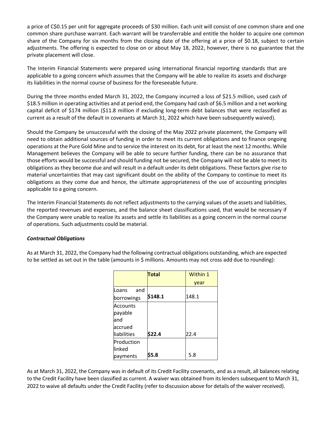a price of C\$0.15 per unit for aggregate proceeds of \$30 million. Each unit will consist of one common share and one common share purchase warrant. Each warrant will be transferrable and entitle the holder to acquire one common share of the Company for six months from the closing date of the offering at a price of \$0.18, subject to certain adjustments. The offering is expected to close on or about May 18, 2022, however, there is no guarantee that the private placement will close.

The Interim Financial Statements were prepared using international financial reporting standards that are applicable to a going concern which assumes that the Company will be able to realize its assets and discharge its liabilities in the normal course of business for the foreseeable future.

During the three months ended March 31, 2022, the Company incurred a loss of \$21.5 million, used cash of \$18.5 million in operating activities and at period end, the Company had cash of \$6.5 million and a net working capital deficit of \$174 million (\$11.8 million if excluding long-term debt balances that were reclassified as current as a result of the default in covenants at March 31, 2022 which have been subsequently waived).

Should the Company be unsuccessful with the closing of the May 2022 private placement, the Company will need to obtain additional sources of funding in order to meet its current obligations and to finance ongoing operations at the Pure Gold Mine and to service the interest on its debt, for at least the next 12 months. While Management believes the Company will be able to secure further funding, there can be no assurance that those efforts would be successful and should funding not be secured, the Company will not be able to meet its obligations as they become due and will result in a default under its debt obligations. These factors give rise to material uncertainties that may cast significant doubt on the ability of the Company to continue to meet its obligations as they come due and hence, the ultimate appropriateness of the use of accounting principles applicable to a going concern.

The Interim Financial Statements do not reflect adjustments to the carrying values of the assets and liabilities, the reported revenues and expenses, and the balance sheet classifications used, that would be necessary if the Company were unable to realize its assets and settle its liabilities as a going concern in the normal course of operations. Such adjustments could be material.

# *Contractual Obligations*

As at March 31, 2022, the Company had the following contractual obligations outstanding, which are expected to be settled as set out in the table (amounts in \$ millions. Amounts may not cross add due to rounding):

|                 | <b>Total</b> | Within 1 |
|-----------------|--------------|----------|
|                 |              | year     |
| Loans<br>and    |              |          |
| borrowings      | \$148.1      | 148.1    |
| <b>Accounts</b> |              |          |
| payable         |              |          |
| land            |              |          |
| laccrued        |              |          |
| liabilities     | \$22.4       | 22.4     |
| Production      |              |          |
| linked          |              |          |
| payments        | \$5.8        | 5.8      |

As at March 31, 2022, the Company was in default of its Credit Facility covenants, and as a result, all balances relating to the Credit Facility have been classified as current. A waiver was obtained from its lenders subsequent to March 31, 2022 to waive all defaults under the Credit Facility (refer to discussion above for details of the waiver received).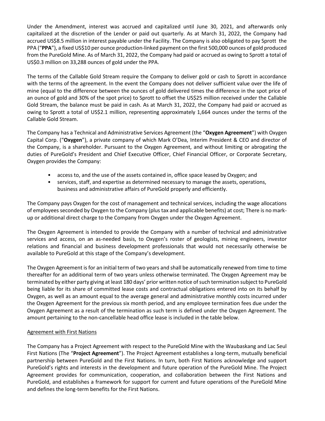Under the Amendment, interest was accrued and capitalized until June 30, 2021, and afterwards only capitalized at the discretion of the Lender or paid out quarterly. As at March 31, 2022, the Company had accrued US\$8.5 million in interest payable under the Facility. The Company is also obligated to pay Sprott the PPA ("**PPA**"), a fixed US\$10 per ounce production-linked payment on the first 500,000 ounces of gold produced from the PureGold Mine. As of March 31, 2022, the Company had paid or accrued as owing to Sprott a total of US\$0.3 million on 33,288 ounces of gold under the PPA.

The terms of the Callable Gold Stream require the Company to deliver gold or cash to Sprott in accordance with the terms of the agreement. In the event the Company does not deliver sufficient value over the life of mine (equal to the difference between the ounces of gold delivered times the difference in the spot price of an ounce of gold and 30% of the spot price) to Sprott to offset the US\$25 million received under the Callable Gold Stream, the balance must be paid in cash. As at March 31, 2022, the Company had paid or accrued as owing to Sprott a total of US\$2.1 million, representing approximately 1,664 ounces under the terms of the Callable Gold Stream.

The Company has a Technical and Administrative Services Agreement (the "**Oxygen Agreement**") with Oxygen Capital Corp. ("**Oxygen**"), a private company of which Mark O'Dea, Interim President & CEO and director of the Company, is a shareholder. Pursuant to the Oxygen Agreement, and without limiting or abrogating the duties of PureGold's President and Chief Executive Officer, Chief Financial Officer, or Corporate Secretary, Oxygen provides the Company:

- access to, and the use of the assets contained in, office space leased by Oxygen; and
- services, staff, and expertise as determined necessary to manage the assets, operations, business and administrative affairs of PureGold properly and efficiently.

The Company pays Oxygen for the cost of management and technical services, including the wage allocations of employees seconded by Oxygen to the Company (plus tax and applicable benefits) at cost; There is no markup or additional direct charge to the Company from Oxygen under the Oxygen Agreement.

The Oxygen Agreement is intended to provide the Company with a number of technical and administrative services and access, on an as-needed basis, to Oxygen's roster of geologists, mining engineers, investor relations and financial and business development professionals that would not necessarily otherwise be available to PureGold at this stage of the Company's development.

The Oxygen Agreement is for an initial term of two years and shall be automatically renewed from time to time thereafter for an additional term of two years unless otherwise terminated. The Oxygen Agreement may be terminated by either party giving at least 180 days' prior written notice of such termination subject to PureGold being liable for its share of committed lease costs and contractual obligations entered into on its behalf by Oxygen, as well as an amount equal to the average general and administrative monthly costs incurred under the Oxygen Agreement for the previous six month period, and any employee termination fees due under the Oxygen Agreement as a result of the termination as such term is defined under the Oxygen Agreement. The amount pertaining to the non-cancellable head office lease is included in the table below.

# Agreement with First Nations

The Company has a Project Agreement with respect to the PureGold Mine with the Waubaskang and Lac Seul First Nations (The "**Project Agreement**"). The Project Agreement establishes a long-term, mutually beneficial partnership between PureGold and the First Nations. In turn, both First Nations acknowledge and support PureGold's rights and interests in the development and future operation of the PureGold Mine. The Project Agreement provides for communication, cooperation, and collaboration between the First Nations and PureGold, and establishes a framework for support for current and future operations of the PureGold Mine and defines the long-term benefits for the First Nations.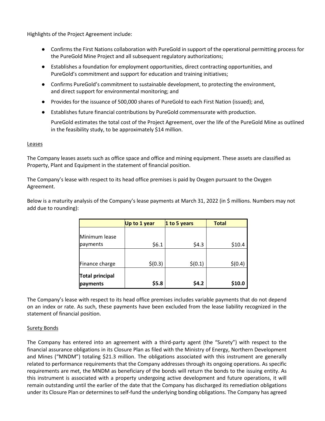Highlights of the Project Agreement include:

- Confirms the First Nations collaboration with PureGold in support of the operational permitting process for the PureGold Mine Project and all subsequent regulatory authorizations;
- Establishes a foundation for employment opportunities, direct contracting opportunities, and PureGold's commitment and support for education and training initiatives;
- Confirms PureGold's commitment to sustainable development, to protecting the environment, and direct support for environmental monitoring; and
- Provides for the issuance of 500,000 shares of PureGold to each First Nation (issued); and,
- Establishes future financial contributions by PureGold commensurate with production.

PureGold estimates the total cost of the Project Agreement, over the life of the PureGold Mine as outlined in the feasibility study, to be approximately \$14 million.

### Leases

The Company leases assets such as office space and office and mining equipment. These assets are classified as Property, Plant and Equipment in the statement of financial position.

The Company's lease with respect to its head office premises is paid by Oxygen pursuant to the Oxygen Agreement.

Below is a maturity analysis of the Company's lease payments at March 31, 2022 (in \$ millions. Numbers may not add due to rounding):

|                                    | Up to 1 year | 1 to 5 years | <b>Total</b> |
|------------------------------------|--------------|--------------|--------------|
| Minimum lease                      |              |              |              |
| payments                           | \$6.1        | \$4.3        | \$10.4       |
| Finance charge                     | \$(0.3)      | \$(0.1)      | \$(0.4)      |
| <b>Total principal</b><br>payments | \$5.8        | \$4.2        | \$10.0       |

The Company's lease with respect to its head office premises includes variable payments that do not depend on an index or rate. As such, these payments have been excluded from the lease liability recognized in the statement of financial position.

# Surety Bonds

The Company has entered into an agreement with a third-party agent (the "Surety") with respect to the financial assurance obligations in its Closure Plan as filed with the Ministry of Energy, Northern Development and Mines ("MNDM") totaling \$21.3 million. The obligations associated with this instrument are generally related to performance requirements that the Company addresses through its ongoing operations. As specific requirements are met, the MNDM as beneficiary of the bonds will return the bonds to the issuing entity. As this instrument is associated with a property undergoing active development and future operations, it will remain outstanding until the earlier of the date that the Company has discharged its remediation obligations under its Closure Plan or determines to self-fund the underlying bonding obligations. The Company has agreed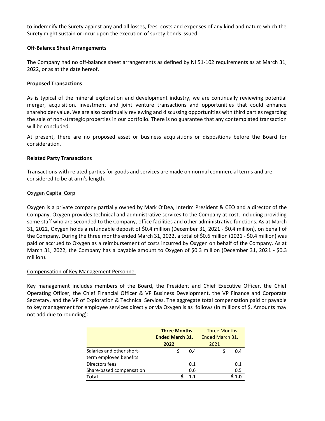to indemnify the Surety against any and all losses, fees, costs and expenses of any kind and nature which the Surety might sustain or incur upon the execution of surety bonds issued.

# **Off-Balance Sheet Arrangements**

The Company had no off-balance sheet arrangements as defined by NI 51-102 requirements as at March 31, 2022, or as at the date hereof.

# **Proposed Transactions**

As is typical of the mineral exploration and development industry, we are continually reviewing potential merger, acquisition, investment and joint venture transactions and opportunities that could enhance shareholder value. We are also continually reviewing and discussing opportunities with third parties regarding the sale of non-strategic properties in our portfolio. There is no guarantee that any contemplated transaction will be concluded.

At present, there are no proposed asset or business acquisitions or dispositions before the Board for consideration.

# **Related Party Transactions**

Transactions with related parties for goods and services are made on normal commercial terms and are considered to be at arm's length.

# Oxygen Capital Corp

Oxygen is a private company partially owned by Mark O'Dea, Interim President & CEO and a director of the Company. Oxygen provides technical and administrative services to the Company at cost, including providing some staff who are seconded to the Company, office facilities and other administrative functions. As at March 31, 2022, Oxygen holds a refundable deposit of \$0.4 million (December 31, 2021 - \$0.4 million), on behalf of the Company. During the three months ended March 31, 2022, a total of \$0.6 million (2021 - \$0.4 million) was paid or accrued to Oxygen as a reimbursement of costs incurred by Oxygen on behalf of the Company. As at March 31, 2022, the Company has a payable amount to Oxygen of \$0.3 million (December 31, 2021 - \$0.3 million).

# Compensation of Key Management Personnel

Key management includes members of the Board, the President and Chief Executive Officer, the Chief Operating Officer, the Chief Financial Officer & VP Business Development, the VP Finance and Corporate Secretary, and the VP of Exploration & Technical Services. The aggregate total compensation paid or payable to key management for employee services directly or via Oxygen is as follows (in millions of \$. Amounts may not add due to rounding):

|                           | <b>Three Months</b>    |     | <b>Three Months</b> |     |
|---------------------------|------------------------|-----|---------------------|-----|
|                           | <b>Ended March 31,</b> |     | Ended March 31,     |     |
|                           | 2022                   |     | 2021                |     |
| Salaries and other short- |                        | 0.4 |                     | በ 4 |
| term employee benefits    |                        |     |                     |     |
| Directors fees            |                        | 0.1 |                     | 0.1 |
| Share-based compensation  |                        | 0.6 |                     | 0.5 |
| <b>Total</b>              |                        | 1.1 |                     |     |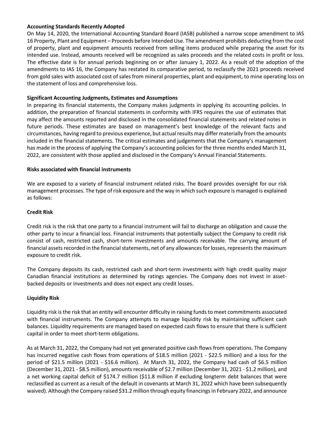# **Accounting Standards Recently Adopted**

On May 14, 2020, the International Accounting Standard Board (IASB) published a narrow scope amendment to IAS 16 Property, Plant and Equipment – Proceeds before Intended Use. The amendment prohibits deducting from the cost of property, plant and equipment amounts received from selling items produced while preparing the asset for its intended use. Instead, amounts received will be recognized as sales proceeds and the related costs in profit or loss. The effective date is for annual periods beginning on or after January 1, 2022. As a result of the adoption of the amendments to IAS 16, the Company has restated its comparative period, to reclassify the 2021 proceeds received from gold sales with associated cost of sales from mineral properties, plant and equipment, to mine operating loss on the statement of loss and comprehensive loss.

# **Significant Accounting Judgments, Estimates and Assumptions**

In preparing its financial statements, the Company makes judgments in applying its accounting policies. In addition, the preparation of financial statements in conformity with IFRS requires the use of estimates that may affect the amounts reported and disclosed in the consolidated financial statements and related notes in future periods. These estimates are based on management's best knowledge of the relevant facts and circumstances, having regard to previous experience, but actual results may differ materially from the amounts included in the financial statements. The critical estimates and judgements that the Company's management has made in the process of applying the Company's accounting policies for the three months ended March 31, 2022, are consistent with those applied and disclosed in the Company's Annual Financial Statements.

# **Risks associated with financial instruments**

We are exposed to a variety of financial instrument related risks. The Board provides oversight for our risk management processes. The type of risk exposure and the way in which such exposure is managed is explained as follows:

# **Credit Risk**

Credit risk is the risk that one party to a financial instrument will fail to discharge an obligation and cause the other party to incur a financial loss. Financial instruments that potentially subject the Company to credit risk consist of cash, restricted cash, short-term investments and amounts receivable. The carrying amount of financial assets recorded in the financial statements, net of any allowances for losses, represents the maximum exposure to credit risk.

The Company deposits its cash, restricted cash and short-term investments with high credit quality major Canadian financial institutions as determined by ratings agencies. The Company does not invest in assetbacked deposits or investments and does not expect any credit losses.

# **Liquidity Risk**

Liquidity risk is the risk that an entity will encounter difficulty in raising funds to meet commitments associated with financial instruments. The Company attempts to manage liquidity risk by maintaining sufficient cash balances. Liquidity requirements are managed based on expected cash flows to ensure that there is sufficient capital in order to meet short-term obligations.

As at March 31, 2022, the Company had not yet generated positive cash flows from operations. The Company has incurred negative cash flows from operations of \$18.5 million (2021 - \$22.5 million) and a loss for the period of \$21.5 million (2021 - \$16.6 million). At March 31, 2022, the Company had cash of \$6.5 million (December 31, 2021 - \$8.5 million), amounts receivable of \$2.7 million (December 31, 2021 - \$1.2 million), and a net working capital deficit of \$174.7 million (\$11.8 million if excluding longterm debt balances that were reclassified as current as a result of the default in covenants at March 31, 2022 which have been subsequently waived). Although the Company raised \$31.2 million through equity financings in February 2022, and announce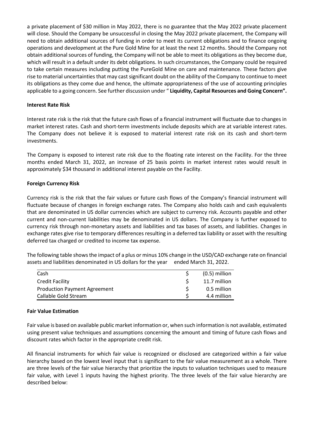a private placement of \$30 million in May 2022, there is no guarantee that the May 2022 private placement will close. Should the Company be unsuccessful in closing the May 2022 private placement, the Company will need to obtain additional sources of funding in order to meet its current obligations and to finance ongoing operations and development at the Pure Gold Mine for at least the next 12 months. Should the Company not obtain additional sources of funding, the Company will not be able to meet its obligations as they become due, which will result in a default under its debt obligations. In such circumstances, the Company could be required to take certain measures including putting the PureGold Mine on care and maintenance. These factors give rise to material uncertainties that may cast significant doubt on the ability of the Company to continue to meet its obligations as they come due and hence, the ultimate appropriateness of the use of accounting principles applicable to a going concern. See further discussion under " **Liquidity, Capital Resources and Going Concern".**

# **Interest Rate Risk**

Interest rate risk is the risk that the future cash flows of a financial instrument will fluctuate due to changes in market interest rates. Cash and short-term investments include deposits which are at variable interest rates. The Company does not believe it is exposed to material interest rate risk on its cash and short-term investments.

The Company is exposed to interest rate risk due to the floating rate interest on the Facility. For the three months ended March 31, 2022, an increase of 25 basis points in market interest rates would result in approximately \$34 thousand in additional interest payable on the Facility.

# **Foreign Currency Risk**

Currency risk is the risk that the fair values or future cash flows of the Company's financial instrument will fluctuate because of changes in foreign exchange rates. The Company also holds cash and cash equivalents that are denominated in US dollar currencies which are subject to currency risk. Accounts payable and other current and non-current liabilities may be denominated in US dollars. The Company is further exposed to currency risk through non-monetary assets and liabilities and tax bases of assets, and liabilities. Changes in exchange rates give rise to temporary differences resulting in a deferred tax liability or asset with the resulting deferred tax charged or credited to income tax expense.

The following table shows the impact of a plus or minus 10% change in the USD/CAD exchange rate on financial assets and liabilities denominated in US dollars for the year ended March 31, 2022.

| Cash                                | $(0.5)$ million |
|-------------------------------------|-----------------|
| Credit Facility                     | 11.7 million    |
| <b>Production Payment Agreement</b> | 0.5 million     |
| Callable Gold Stream                | 4.4 million     |

#### **Fair Value Estimation**

Fair value is based on available public market information or, when such information is not available, estimated using present value techniques and assumptions concerning the amount and timing of future cash flows and discount rates which factor in the appropriate credit risk.

All financial instruments for which fair value is recognized or disclosed are categorized within a fair value hierarchy based on the lowest level input that is significant to the fair value measurement as a whole. There are three levels of the fair value hierarchy that prioritize the inputs to valuation techniques used to measure fair value, with Level 1 inputs having the highest priority. The three levels of the fair value hierarchy are described below: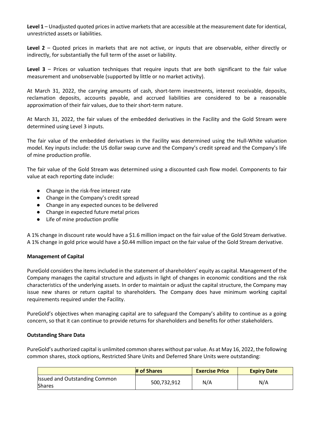**Level 1** – Unadjusted quoted prices in active markets that are accessible at the measurement date for identical, unrestricted assets or liabilities.

**Level 2** – Quoted prices in markets that are not active, or inputs that are observable, either directly or indirectly, for substantially the full term of the asset or liability.

**Level 3** – Prices or valuation techniques that require inputs that are both significant to the fair value measurement and unobservable (supported by little or no market activity).

At March 31, 2022, the carrying amounts of cash, short-term investments, interest receivable, deposits, reclamation deposits, accounts payable, and accrued liabilities are considered to be a reasonable approximation of their fair values, due to their short-term nature.

At March 31, 2022, the fair values of the embedded derivatives in the Facility and the Gold Stream were determined using Level 3 inputs.

The fair value of the embedded derivatives in the Facility was determined using the Hull-White valuation model. Key inputs include: the US dollar swap curve and the Company's credit spread and the Company's life of mine production profile.

The fair value of the Gold Stream was determined using a discounted cash flow model. Components to fair value at each reporting date include:

- Change in the risk-free interest rate
- Change in the Company's credit spread
- Change in any expected ounces to be delivered
- Change in expected future metal prices
- Life of mine production profile

A 1% change in discount rate would have a \$1.6 million impact on the fair value of the Gold Stream derivative. A 1% change in gold price would have a \$0.44 million impact on the fair value of the Gold Stream derivative.

# **Management of Capital**

PureGold considers the items included in the statement of shareholders' equity as capital. Management of the Company manages the capital structure and adjusts in light of changes in economic conditions and the risk characteristics of the underlying assets. In order to maintain or adjust the capital structure, the Company may issue new shares or return capital to shareholders. The Company does have minimum working capital requirements required under the Facility.

PureGold's objectives when managing capital are to safeguard the Company's ability to continue as a going concern, so that it can continue to provide returns for shareholders and benefits for other stakeholders.

# **Outstanding Share Data**

PureGold's authorized capital is unlimited common shares without par value. As at May 16, 2022, the following common shares, stock options, Restricted Share Units and Deferred Share Units were outstanding:

|                                                       | # of Shares | <b>Exercise Price</b> | <b>Expiry Date</b> |
|-------------------------------------------------------|-------------|-----------------------|--------------------|
| <b>Issued and Outstanding Common</b><br><b>Shares</b> | 500,732,912 | N/A                   | N/A                |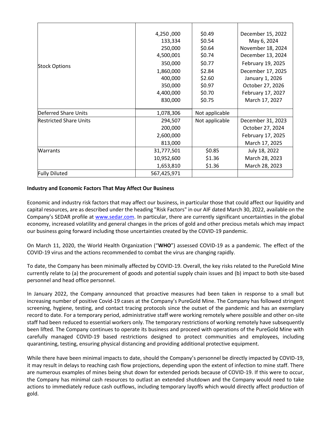| <b>Stock Options</b>          | 4,250,000   | \$0.49         | December 15, 2022 |
|-------------------------------|-------------|----------------|-------------------|
|                               | 133,334     | \$0.54         | May 6, 2024       |
|                               | 250,000     | \$0.64         | November 18, 2024 |
|                               | 4,500,001   | \$0.74         | December 13, 2024 |
|                               | 350,000     | \$0.77         | February 19, 2025 |
|                               | 1,860,000   | \$2.84         | December 17, 2025 |
|                               | 400,000     | \$2.60         | January 1, 2026   |
|                               | 350,000     | \$0.97         | October 27, 2026  |
|                               | 4,400,000   | \$0.70         | February 17, 2027 |
|                               | 830,000     | \$0.75         | March 17, 2027    |
| Deferred Share Units          | 1,078,306   | Not applicable |                   |
| <b>Restricted Share Units</b> | 294,507     | Not applicable | December 31, 2023 |
|                               | 200,000     |                | October 27, 2024  |
|                               | 2,600,000   |                | February 17, 2025 |
|                               | 813,000     |                | March 17, 2025    |
| <b>Warrants</b>               | 31,777,501  | \$0.85         | July 18, 2022     |
|                               | 10,952,600  | \$1.36         | March 28, 2023    |
|                               | 1,653,810   | \$1.36         | March 28, 2023    |
| <b>Fully Diluted</b>          | 567,425,971 |                |                   |

# **Industry and Economic Factors That May Affect Our Business**

Economic and industry risk factors that may affect our business, in particular those that could affect our liquidity and capital resources, are as described under the heading "Risk Factors" in our AIF dated March 30, 2022, available on the Company's SEDAR profile at [www.sedar.com. I](http://www.sedar.com/)n particular, there are currently significant uncertainties in the global economy, increased volatility and general changes in the prices of gold and other precious metals which may impact our business going forward including those uncertainties created by the COVID-19 pandemic.

On March 11, 2020, the World Health Organization ("**WHO**") assessed COVID-19 as a pandemic. The effect of the COVID-19 virus and the actions recommended to combat the virus are changing rapidly.

To date, the Company has been minimally affected by COVID-19. Overall, the key risks related to the PureGold Mine currently relate to (a) the procurement of goods and potential supply chain issues and (b) impact to both site-based personnel and head office personnel.

In January 2022, the Company announced that proactive measures had been taken in response to a small but increasing number of positive Covid-19 cases at the Company's PureGold Mine. The Company has followed stringent screening, hygiene, testing, and contact tracing protocols since the outset of the pandemic and has an exemplary record to date. For a temporary period, administrative staff were working remotely where possible and other on-site staff had been reduced to essential workers only. The temporary restrictions of working remotely have subsequently been lifted. The Company continues to operate its business and proceed with operations of the PureGold Mine with carefully managed COVID-19 based restrictions designed to protect communities and employees, including quarantining, testing, ensuring physical distancing and providing additional protective equipment.

While there have been minimal impacts to date, should the Company's personnel be directly impacted by COVID-19, it may result in delays to reaching cash flow projections, depending upon the extent of infection to mine staff. There are numerous examples of mines being shut down for extended periods because of COVID-19. If this were to occur, the Company has minimal cash resources to outlast an extended shutdown and the Company would need to take actions to immediately reduce cash outflows, including temporary layoffs which would directly affect production of gold.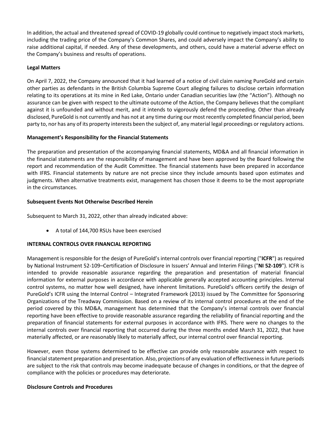In addition, the actual and threatened spread of COVID-19 globally could continue to negatively impact stock markets, including the trading price of the Company's Common Shares, and could adversely impact the Company's ability to raise additional capital, if needed. Any of these developments, and others, could have a material adverse effect on the Company's business and results of operations.

# **Legal Matters**

On April 7, 2022, the Company announced that it had learned of a notice of civil claim naming PureGold and certain other parties as defendants in the British Columbia Supreme Court alleging failures to disclose certain information relating to its operations at its mine in Red Lake, Ontario under Canadian securities law (the "Action"). Although no assurance can be given with respect to the ultimate outcome of the Action, the Company believes that the compliant against it is unfounded and without merit, and it intends to vigorously defend the proceeding. Other than already disclosed, PureGold is not currently and has not at any time during our most recently completed financial period, been party to, nor has any of its property interests been the subject of, any material legal proceedings or regulatory actions.

# **Management's Responsibility for the Financial Statements**

The preparation and presentation of the accompanying financial statements, MD&A and all financial information in the financial statements are the responsibility of management and have been approved by the Board following the report and recommendation of the Audit Committee. The financial statements have been prepared in accordance with IFRS. Financial statements by nature are not precise since they include amounts based upon estimates and judgments. When alternative treatments exist, management has chosen those it deems to be the most appropriate in the circumstances.

# **Subsequent Events Not Otherwise Described Herein**

Subsequent to March 31, 2022, other than already indicated above:

• A total of 144,700 RSUs have been exercised

# **INTERNAL CONTROLS OVER FINANCIAL REPORTING**

Management is responsible for the design of PureGold's internal controls over financial reporting ("**ICFR**") as required by National Instrument 52-109–Certification of Disclosure in Issuers' Annual and Interim Filings ("**NI 52-109**"). ICFR is intended to provide reasonable assurance regarding the preparation and presentation of material financial information for external purposes in accordance with applicable generally accepted accounting principles. Internal control systems, no matter how well designed, have inherent limitations. PureGold's officers certify the design of PureGold's ICFR using the Internal Control – Integrated Framework (2013) issued by The Committee for Sponsoring Organizations of the Treadway Commission. Based on a review of its internal control procedures at the end of the period covered by this MD&A, management has determined that the Company's internal controls over financial reporting have been effective to provide reasonable assurance regarding the reliability of financial reporting and the preparation of financial statements for external purposes in accordance with IFRS. There were no changes to the internal controls over financial reporting that occurred during the three months ended March 31, 2022, that have materially affected, or are reasonably likely to materially affect, our internal control over financial reporting.

However, even those systems determined to be effective can provide only reasonable assurance with respect to financial statement preparation and presentation. Also, projections of any evaluation of effectiveness in future periods are subject to the risk that controls may become inadequate because of changes in conditions, or that the degree of compliance with the policies or procedures may deteriorate.

# **Disclosure Controls and Procedures**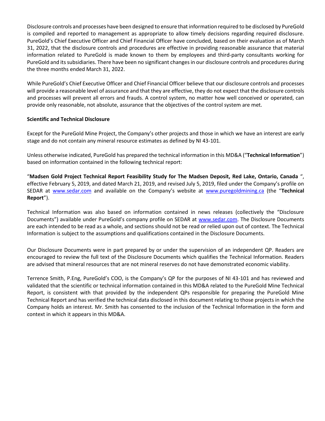Disclosure controls and processes have been designed to ensure that information required to be disclosed by PureGold is compiled and reported to management as appropriate to allow timely decisions regarding required disclosure. PureGold's Chief Executive Officer and Chief Financial Officer have concluded, based on their evaluation as of March 31, 2022, that the disclosure controls and procedures are effective in providing reasonable assurance that material information related to PureGold is made known to them by employees and third-party consultants working for PureGold and its subsidiaries. There have been no significant changes in our disclosure controls and procedures during the three months ended March 31, 2022.

While PureGold's Chief Executive Officer and Chief Financial Officer believe that our disclosure controls and processes will provide a reasonable level of assurance and that they are effective, they do not expect that the disclosure controls and processes will prevent all errors and frauds. A control system, no matter how well conceived or operated, can provide only reasonable, not absolute, assurance that the objectives of the control system are met.

# **Scientific and Technical Disclosure**

Except for the PureGold Mine Project, the Company's other projects and those in which we have an interest are early stage and do not contain any mineral resource estimates as defined by NI 43-101.

Unless otherwise indicated, PureGold has prepared the technical information in this MD&A ("**Technical Information**") based on information contained in the following technical report:

"**Madsen Gold Project Technical Report Feasibility Study for The Madsen Deposit, Red Lake, Ontario, Canada** ", effective February 5, 2019, and dated March 21, 2019, and revised July 5, 2019, filed under the Company's profile on SEDAR at [www.sedar.com](http://www.sedar.com/) and available on the Company's website at [www.puregoldmining.ca](http://www.puregoldmining.ca/) (the "**Technical Report**").

Technical Information was also based on information contained in news releases (collectively the "Disclosure Documents") available under PureGold's company profile on SEDAR at [www.sedar.com. T](http://www.sedar.com/)he Disclosure Documents are each intended to be read as a whole, and sections should not be read or relied upon out of context. The Technical Information is subject to the assumptions and qualifications contained in the Disclosure Documents.

Our Disclosure Documents were in part prepared by or under the supervision of an independent QP. Readers are encouraged to review the full text of the Disclosure Documents which qualifies the Technical Information. Readers are advised that mineral resources that are not mineral reserves do not have demonstrated economic viability.

Terrence Smith, P.Eng, PureGold's COO, is the Company's QP for the purposes of NI 43-101 and has reviewed and validated that the scientific or technical information contained in this MD&A related to the PureGold Mine Technical Report, is consistent with that provided by the independent QPs responsible for preparing the PureGold Mine Technical Report and has verified the technical data disclosed in this document relating to those projects in which the Company holds an interest. Mr. Smith has consented to the inclusion of the Technical Information in the form and context in which it appears in this MD&A.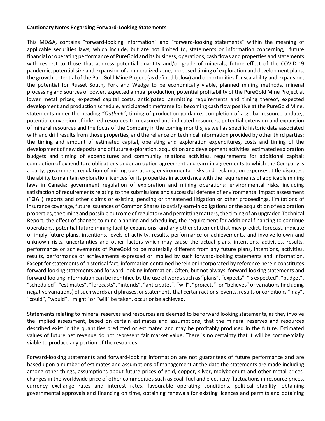#### **Cautionary Notes Regarding Forward-Looking Statements**

This MD&A, contains "forward-looking information" and "forward-looking statements" within the meaning of applicable securities laws, which include, but are not limited to, statements or information concerning, future financial or operating performance of PureGold and its business, operations, cash flows and properties and statements with respect to those that address potential quantity and/or grade of minerals, future effect of the COVID-19 pandemic, potential size and expansion of a mineralized zone, proposed timing of exploration and development plans, the growth potential of the PureGold Mine Project (as defined below) and opportunities for scalability and expansion, the potential for Russet South, Fork and Wedge to be economically viable, planned mining methods, mineral processing and sources of power, expected annual production, potential profitability of the PureGold Mine Project at lower metal prices, expected capital costs, anticipated permitting requirements and timing thereof, expected development and production schedule, anticipated timeframe for becoming cash flow positive at the PureGold Mine, statements under the heading "*Outlook*", timing of production guidance, completion of a global resource update,, potential conversion of inferred resources to measured and indicated resources, potential extension and expansion of mineral resources and the focus of the Company in the coming months, as well as specific historic data associated with and drill results from those properties, and the reliance on technical information provided by other third parties; the timing and amount of estimated capital, operating and exploration expenditures, costs and timing of the development of new deposits and of future exploration, acquisition and development activities, estimated exploration budgets and timing of expenditures and community relations activities, requirements for additional capital; completion of expenditure obligations under an option agreement and earn-in agreements to which the Company is a party; government regulation of mining operations, environmental risks and reclamation expenses, title disputes, the ability to maintain exploration licences for its properties in accordance with the requirements of applicable mining laws in Canada; government regulation of exploration and mining operations; environmental risks, including satisfaction of requirements relating to the submissions and successful defense of environmental impact assessment ("**EIA**") reports and other claims or existing, pending or threatened litigation or other proceedings, limitations of insurance coverage, future issuances of Common Shares to satisfy earn-in obligations or the acquisition of exploration properties, the timing and possible outcome of regulatory and permitting matters, the timing of an upgraded Technical Report, the effect of changes to mine planning and scheduling, the requirement for additional financing to continue operations, potential future mining facility expansions, and any other statement that may predict, forecast, indicate or imply future plans, intentions, levels of activity, results, performance or achievements, and involve known and unknown risks, uncertainties and other factors which may cause the actual plans, intentions, activities, results, performance or achievements of PureGold to be materially different from any future plans, intentions, activities, results, performance or achievements expressed or implied by such forward-looking statements and information. Except for statements of historical fact, information contained herein or incorporated by reference herein constitutes forward-looking statements and forward-looking information. Often, but not always, forward-looking statements and forward-looking information can be identified by the use of words such as "plans", "expects", "is expected", "budget", "scheduled", "estimates", "forecasts", "intends", "anticipates", "will", "projects", or "believes" or variations (including negative variations) of such words and phrases, or statements that certain actions, events, results or conditions "may", "could", "would", "might" or "will" be taken, occur or be achieved.

Statements relating to mineral reserves and resources are deemed to be forward looking statements, as they involve the implied assessment, based on certain estimates and assumptions, that the mineral reserves and resources described exist in the quantities predicted or estimated and may be profitably produced in the future. Estimated values of future net revenue do not represent fair market value. There is no certainty that it will be commercially viable to produce any portion of the resources.

Forward-looking statements and forward-looking information are not guarantees of future performance and are based upon a number of estimates and assumptions of management at the date the statements are made including among other things, assumptions about future prices of gold, copper, silver, molybdenum and other metal prices, changes in the worldwide price of other commodities such as coal, fuel and electricity fluctuations in resource prices, currency exchange rates and interest rates, favourable operating conditions, political stability, obtaining governmental approvals and financing on time, obtaining renewals for existing licences and permits and obtaining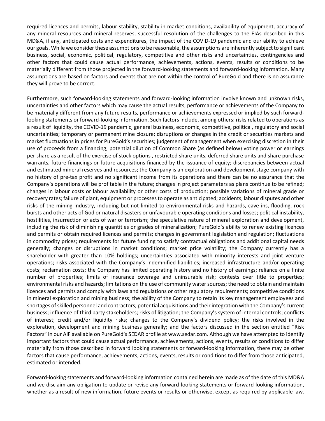required licences and permits, labour stability, stability in market conditions, availability of equipment, accuracy of any mineral resources and mineral reserves, successful resolution of the challenges to the EIAs described in this MD&A, if any, anticipated costs and expenditures, the impact of the COVID-19 pandemic and our ability to achieve our goals. While we consider these assumptions to be reasonable, the assumptions are inherently subject to significant business, social, economic, political, regulatory, competitive and other risks and uncertainties, contingencies and other factors that could cause actual performance, achievements, actions, events, results or conditions to be materially different from those projected in the forward-looking statements and forward-looking information. Many assumptions are based on factors and events that are not within the control of PureGold and there is no assurance they will prove to be correct.

Furthermore, such forward-looking statements and forward-looking information involve known and unknown risks, uncertainties and other factors which may cause the actual results, performance or achievements of the Company to be materially different from any future results, performance or achievements expressed or implied by such forwardlooking statements or forward-looking information. Such factors include, among others: risks related to operations as a result of liquidity, the COVID-19 pandemic, general business, economic, competitive, political, regulatory and social uncertainties; temporary or permanent mine closure; disruptions or changes in the credit or securities markets and market fluctuations in prices for PureGold's securities; judgement of management when exercising discretion in their use of proceeds from a financing; potential dilution of Common Share (as defined below) voting power or earnings per share as a result of the exercise of stock options , restricted share units, deferred share units and share purchase warrants, future financings or future acquisitions financed by the issuance of equity; discrepancies between actual and estimated mineral reserves and resources; the Company is an exploration and development stage company with no history of pre-tax profit and no significant income from its operations and there can be no assurance that the Company's operations will be profitable in the future; changes in project parameters as plans continue to be refined; changes in labour costs or labour availability or other costs of production; possible variations of mineral grade or recovery rates; failure of plant, equipment or processes to operate as anticipated; accidents, labour disputes and other risks of the mining industry, including but not limited to environmental risks and hazards, cave-ins, flooding, rock bursts and other acts of God or natural disasters or unfavourable operating conditions and losses; political instability, hostilities, insurrection or acts of war or terrorism; the speculative nature of mineral exploration and development, including the risk of diminishing quantities or grades of mineralization; PureGold's ability to renew existing licences and permits or obtain required licences and permits; changes in government legislation and regulation; fluctuations in commodity prices; requirements for future funding to satisfy contractual obligations and additional capital needs generally; changes or disruptions in market conditions; market price volatility; the Company currently has a shareholder with greater than 10% holdings; uncertainties associated with minority interests and joint venture operations; risks associated with the Company's indemnified liabilities; increased infrastructure and/or operating costs; reclamation costs; the Company has limited operating history and no history of earnings; reliance on a finite number of properties; limits of insurance coverage and uninsurable risk; contests over title to properties; environmental risks and hazards; limitations on the use of community water sources; the need to obtain and maintain licences and permits and comply with laws and regulations or other regulatory requirements; competitive conditions in mineral exploration and mining business; the ability of the Company to retain its key management employees and shortages of skilled personnel and contractors; potential acquisitions and their integration with the Company's current business; influence of third party stakeholders; risks of litigation; the Company's system of internal controls; conflicts of interest; credit and/or liquidity risks; changes to the Company's dividend policy; the risks involved in the exploration, development and mining business generally; and the factors discussed in the section entitled "Risk Factors" in our AIF available on PureGold's SEDAR profile a[t www.sedar.com. A](http://www.sedar.com/)lthough we have attempted to identify important factors that could cause actual performance, achievements, actions, events, results or conditions to differ materially from those described in forward looking statements or forward-looking information, there may be other factors that cause performance, achievements, actions, events, results or conditions to differ from those anticipated, estimated or intended.

Forward-looking statements and forward-looking information contained herein are made as of the date of this MD&A and we disclaim any obligation to update or revise any forward-looking statements or forward-looking information, whether as a result of new information, future events or results or otherwise, except as required by applicable law.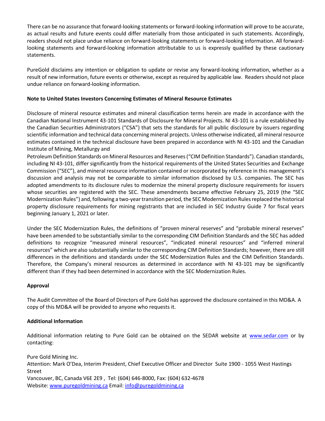There can be no assurance that forward-looking statements or forward-looking information will prove to be accurate, as actual results and future events could differ materially from those anticipated in such statements. Accordingly, readers should not place undue reliance on forward-looking statements or forward-looking information. All forwardlooking statements and forward-looking information attributable to us is expressly qualified by these cautionary statements.

PureGold disclaims any intention or obligation to update or revise any forward-looking information, whether as a result of new information, future events or otherwise, except as required by applicable law. Readers should not place undue reliance on forward-looking information.

# **Note to United States Investors Concerning Estimates of Mineral Resource Estimates**

Disclosure of mineral resource estimates and mineral classification terms herein are made in accordance with the Canadian National Instrument 43-101 Standards of Disclosure for Mineral Projects. NI 43-101 is a rule established by the Canadian Securities Administrators ("CSA") that sets the standards for all public disclosure by issuers regarding scientific information and technical data concerning mineral projects. Unless otherwise indicated, all mineral resource estimates contained in the technical disclosure have been prepared in accordance with NI 43-101 and the Canadian Institute of Mining, Metallurgy and

Petroleum Definition Standards on Mineral Resources and Reserves ("CIM Definition Standards"). Canadian standards, including NI 43-101, differ significantly from the historical requirements of the United States Securities and Exchange Commission ("SEC"), and mineral resource information contained or incorporated by reference in this management's discussion and analysis may not be comparable to similar information disclosed by U.S. companies. The SEC has adopted amendments to its disclosure rules to modernize the mineral property disclosure requirements for issuers whose securities are registered with the SEC. These amendments became effective February 25, 2019 (the "SEC Modernization Rules") and, following a two-year transition period, the SEC Modernization Rules replaced the historical property disclosure requirements for mining registrants that are included in SEC Industry Guide 7 for fiscal years beginning January 1, 2021 or later.

Under the SEC Modernization Rules, the definitions of "proven mineral reserves" and "probable mineral reserves" have been amended to be substantially similar to the corresponding CIM Definition Standards and the SEC has added definitions to recognize "measured mineral resources", "indicated mineral resources" and "inferred mineral resources" which are also substantially similar to the corresponding CIM Definition Standards; however, there are still differences in the definitions and standards under the SEC Modernization Rules and the CIM Definition Standards. Therefore, the Company's mineral resources as determined in accordance with NI 43-101 may be significantly different than if they had been determined in accordance with the SEC Modernization Rules.

# **Approval**

The Audit Committee of the Board of Directors of Pure Gold has approved the disclosure contained in this MD&A. A copy of this MD&A will be provided to anyone who requests it.

# **Additional Information**

Additional information relating to Pure Gold can be obtained on the SEDAR website at [www.sedar.com](http://www.sedar.com/) or by contacting:

Pure Gold Mining Inc. Attention: Mark O'Dea, Interim President, Chief Executive Officer and Director Suite 1900 - 1055 West Hastings Street Vancouver, BC, Canada V6E 2E9 , Tel: (604) 646-8000, Fax: (604) 632-4678 Website[: www.puregoldmining.ca](http://www.puregoldmining.ca/) Email[: info@puregoldmining.ca](mailto:info@puregoldmining.ca)